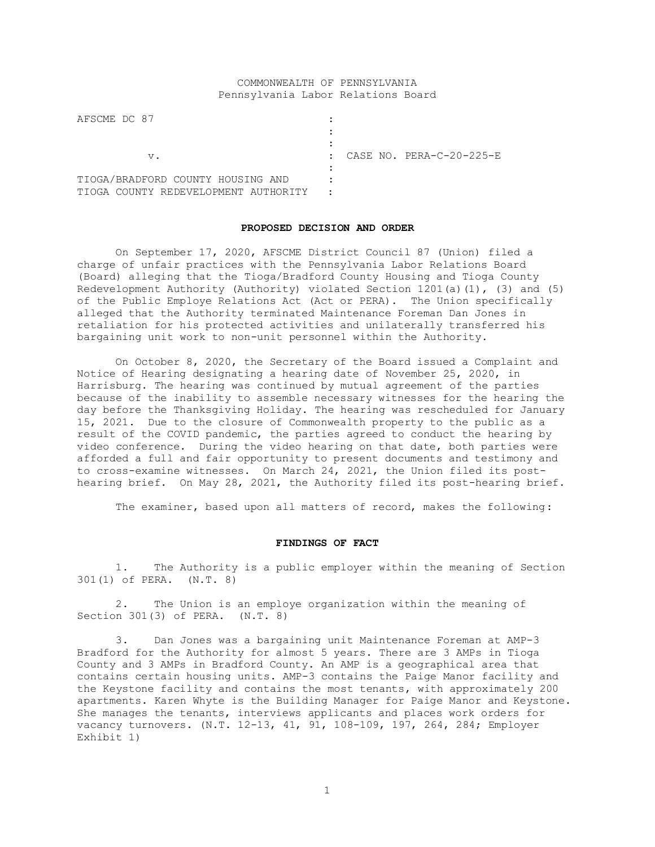# COMMONWEALTH OF PENNSYLVANIA Pennsylvania Labor Relations Board

| AFSCME DC 87                            |                                          |
|-----------------------------------------|------------------------------------------|
|                                         |                                          |
|                                         |                                          |
| v.                                      | CASE NO. PERA-C-20-225-E<br>$\mathbf{r}$ |
|                                         |                                          |
| TIOGA/BRADFORD COUNTY HOUSING AND       |                                          |
| COUNTY REDEVELOPMENT AUTHORITY<br>TIOGA |                                          |

### **PROPOSED DECISION AND ORDER**

On September 17, 2020, AFSCME District Council 87 (Union) filed a charge of unfair practices with the Pennsylvania Labor Relations Board (Board) alleging that the Tioga/Bradford County Housing and Tioga County Redevelopment Authority (Authority) violated Section 1201(a)(1), (3) and (5) of the Public Employe Relations Act (Act or PERA). The Union specifically alleged that the Authority terminated Maintenance Foreman Dan Jones in retaliation for his protected activities and unilaterally transferred his bargaining unit work to non-unit personnel within the Authority.

On October 8, 2020, the Secretary of the Board issued a Complaint and Notice of Hearing designating a hearing date of November 25, 2020, in Harrisburg. The hearing was continued by mutual agreement of the parties because of the inability to assemble necessary witnesses for the hearing the day before the Thanksgiving Holiday. The hearing was rescheduled for January 15, 2021. Due to the closure of Commonwealth property to the public as a result of the COVID pandemic, the parties agreed to conduct the hearing by video conference. During the video hearing on that date, both parties were afforded a full and fair opportunity to present documents and testimony and to cross-examine witnesses. On March 24, 2021, the Union filed its posthearing brief. On May 28, 2021, the Authority filed its post-hearing brief.

The examiner, based upon all matters of record, makes the following:

## **FINDINGS OF FACT**

1. The Authority is a public employer within the meaning of Section 301(1) of PERA. (N.T. 8)

2. The Union is an employe organization within the meaning of Section 301(3) of PERA. (N.T. 8)

3. Dan Jones was a bargaining unit Maintenance Foreman at AMP-3 Bradford for the Authority for almost 5 years. There are 3 AMPs in Tioga County and 3 AMPs in Bradford County. An AMP is a geographical area that contains certain housing units. AMP-3 contains the Paige Manor facility and the Keystone facility and contains the most tenants, with approximately 200 apartments. Karen Whyte is the Building Manager for Paige Manor and Keystone. She manages the tenants, interviews applicants and places work orders for vacancy turnovers. (N.T. 12-13, 41, 91, 108-109, 197, 264, 284; Employer Exhibit 1)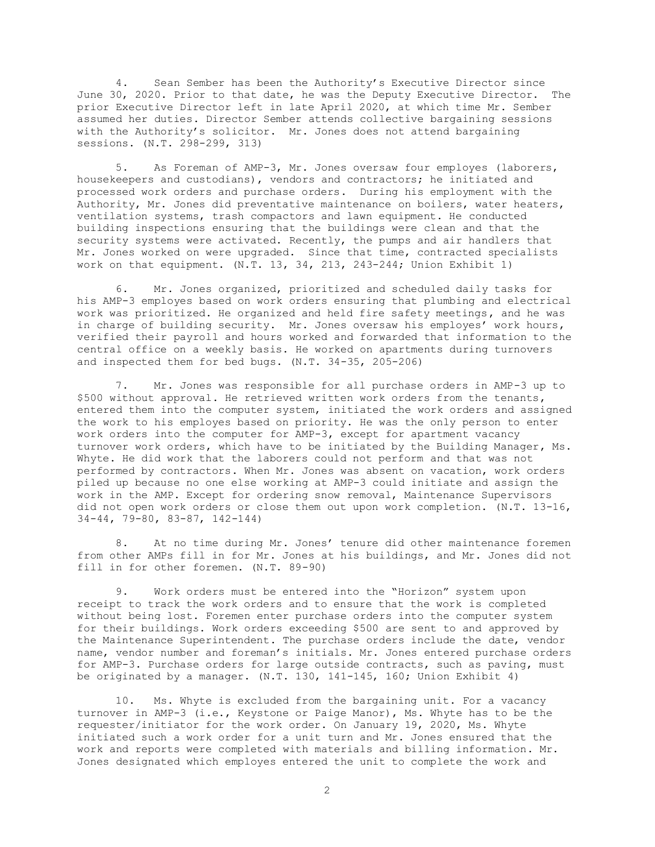4. Sean Sember has been the Authority's Executive Director since June 30, 2020. Prior to that date, he was the Deputy Executive Director. The prior Executive Director left in late April 2020, at which time Mr. Sember assumed her duties. Director Sember attends collective bargaining sessions with the Authority's solicitor. Mr. Jones does not attend bargaining sessions. (N.T. 298-299, 313)

5. As Foreman of AMP-3, Mr. Jones oversaw four employes (laborers, housekeepers and custodians), vendors and contractors; he initiated and processed work orders and purchase orders. During his employment with the Authority, Mr. Jones did preventative maintenance on boilers, water heaters, ventilation systems, trash compactors and lawn equipment. He conducted building inspections ensuring that the buildings were clean and that the security systems were activated. Recently, the pumps and air handlers that Mr. Jones worked on were upgraded. Since that time, contracted specialists work on that equipment. (N.T. 13, 34, 213, 243-244; Union Exhibit 1)

6. Mr. Jones organized, prioritized and scheduled daily tasks for his AMP-3 employes based on work orders ensuring that plumbing and electrical work was prioritized. He organized and held fire safety meetings, and he was in charge of building security. Mr. Jones oversaw his employes' work hours, verified their payroll and hours worked and forwarded that information to the central office on a weekly basis. He worked on apartments during turnovers and inspected them for bed bugs. (N.T. 34-35, 205-206)

7. Mr. Jones was responsible for all purchase orders in AMP-3 up to \$500 without approval. He retrieved written work orders from the tenants, entered them into the computer system, initiated the work orders and assigned the work to his employes based on priority. He was the only person to enter work orders into the computer for AMP-3, except for apartment vacancy turnover work orders, which have to be initiated by the Building Manager, Ms. Whyte. He did work that the laborers could not perform and that was not performed by contractors. When Mr. Jones was absent on vacation, work orders piled up because no one else working at AMP-3 could initiate and assign the work in the AMP. Except for ordering snow removal, Maintenance Supervisors did not open work orders or close them out upon work completion. (N.T. 13-16, 34-44, 79-80, 83-87, 142-144)

8. At no time during Mr. Jones' tenure did other maintenance foremen from other AMPs fill in for Mr. Jones at his buildings, and Mr. Jones did not fill in for other foremen. (N.T. 89-90)

9. Work orders must be entered into the "Horizon" system upon receipt to track the work orders and to ensure that the work is completed without being lost. Foremen enter purchase orders into the computer system for their buildings. Work orders exceeding \$500 are sent to and approved by the Maintenance Superintendent. The purchase orders include the date, vendor name, vendor number and foreman's initials. Mr. Jones entered purchase orders for AMP-3. Purchase orders for large outside contracts, such as paving, must be originated by a manager. (N.T. 130, 141-145, 160; Union Exhibit 4)

10. Ms. Whyte is excluded from the bargaining unit. For a vacancy turnover in AMP-3 (i.e., Keystone or Paige Manor), Ms. Whyte has to be the requester/initiator for the work order. On January 19, 2020, Ms. Whyte initiated such a work order for a unit turn and Mr. Jones ensured that the work and reports were completed with materials and billing information. Mr. Jones designated which employes entered the unit to complete the work and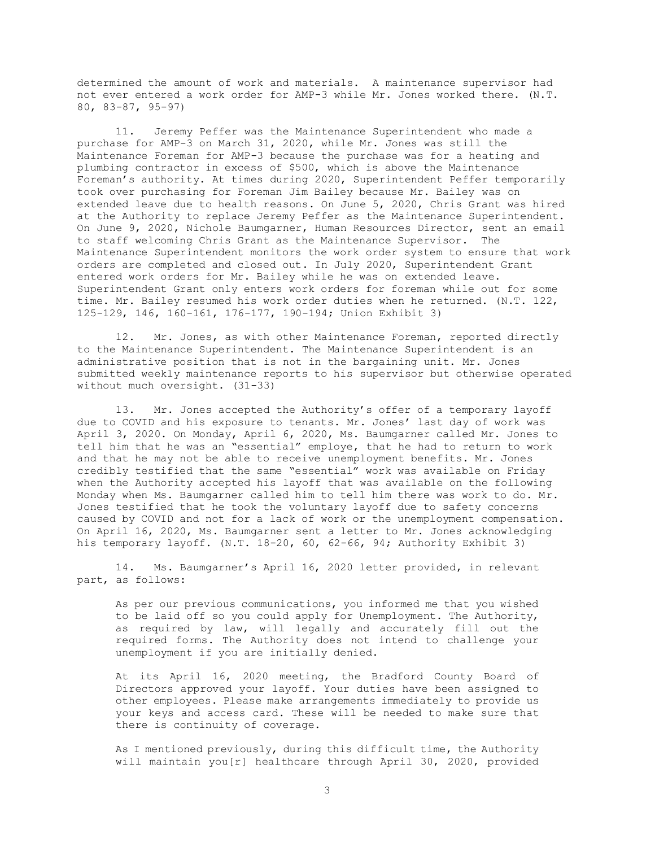determined the amount of work and materials. A maintenance supervisor had not ever entered a work order for AMP-3 while Mr. Jones worked there. (N.T. 80, 83-87, 95-97)

11. Jeremy Peffer was the Maintenance Superintendent who made a purchase for AMP-3 on March 31, 2020, while Mr. Jones was still the Maintenance Foreman for AMP-3 because the purchase was for a heating and plumbing contractor in excess of \$500, which is above the Maintenance Foreman's authority. At times during 2020, Superintendent Peffer temporarily took over purchasing for Foreman Jim Bailey because Mr. Bailey was on extended leave due to health reasons. On June 5, 2020, Chris Grant was hired at the Authority to replace Jeremy Peffer as the Maintenance Superintendent. On June 9, 2020, Nichole Baumgarner, Human Resources Director, sent an email to staff welcoming Chris Grant as the Maintenance Supervisor. The Maintenance Superintendent monitors the work order system to ensure that work orders are completed and closed out. In July 2020, Superintendent Grant entered work orders for Mr. Bailey while he was on extended leave. Superintendent Grant only enters work orders for foreman while out for some time. Mr. Bailey resumed his work order duties when he returned. (N.T. 122, 125-129, 146, 160-161, 176-177, 190-194; Union Exhibit 3)

12. Mr. Jones, as with other Maintenance Foreman, reported directly to the Maintenance Superintendent. The Maintenance Superintendent is an administrative position that is not in the bargaining unit. Mr. Jones submitted weekly maintenance reports to his supervisor but otherwise operated without much oversight. (31-33)

13. Mr. Jones accepted the Authority's offer of a temporary layoff due to COVID and his exposure to tenants. Mr. Jones' last day of work was April 3, 2020. On Monday, April 6, 2020, Ms. Baumgarner called Mr. Jones to tell him that he was an "essential" employe, that he had to return to work and that he may not be able to receive unemployment benefits. Mr. Jones credibly testified that the same "essential" work was available on Friday when the Authority accepted his layoff that was available on the following Monday when Ms. Baumgarner called him to tell him there was work to do. Mr. Jones testified that he took the voluntary layoff due to safety concerns caused by COVID and not for a lack of work or the unemployment compensation. On April 16, 2020, Ms. Baumgarner sent a letter to Mr. Jones acknowledging his temporary layoff. (N.T. 18-20, 60, 62-66, 94; Authority Exhibit 3)

14. Ms. Baumgarner's April 16, 2020 letter provided, in relevant part, as follows:

As per our previous communications, you informed me that you wished to be laid off so you could apply for Unemployment. The Authority, as required by law, will legally and accurately fill out the required forms. The Authority does not intend to challenge your unemployment if you are initially denied.

At its April 16, 2020 meeting, the Bradford County Board of Directors approved your layoff. Your duties have been assigned to other employees. Please make arrangements immediately to provide us your keys and access card. These will be needed to make sure that there is continuity of coverage.

As I mentioned previously, during this difficult time, the Authority will maintain you[r] healthcare through April 30, 2020, provided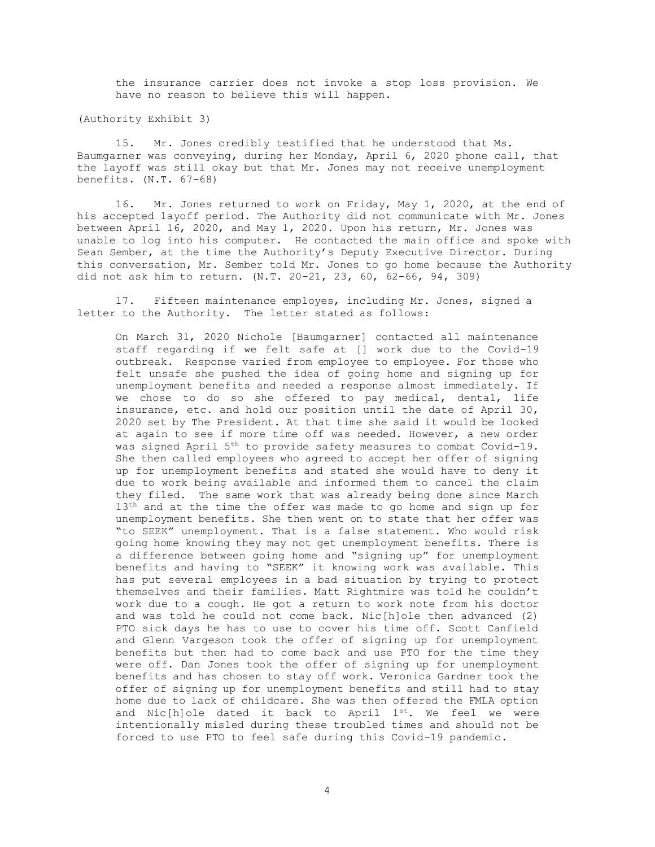the insurance carrier does not invoke a stop loss provision. We have no reason to believe this will happen.

(Authority Exhibit 3)

15. Mr. Jones credibly testified that he understood that Ms. Baumgarner was conveying, during her Monday, April 6, 2020 phone call, that the layoff was still okay but that Mr. Jones may not receive unemployment benefits. (N.T. 67-68)

16. Mr. Jones returned to work on Friday, May 1, 2020, at the end of his accepted layoff period. The Authority did not communicate with Mr. Jones between April 16, 2020, and May 1, 2020. Upon his return, Mr. Jones was unable to log into his computer. He contacted the main office and spoke with Sean Sember, at the time the Authority's Deputy Executive Director. During this conversation, Mr. Sember told Mr. Jones to go home because the Authority did not ask him to return. (N.T. 20-21, 23, 60, 62-66, 94, 309)

17. Fifteen maintenance employes, including Mr. Jones, signed a letter to the Authority. The letter stated as follows:

On March 31, 2020 Nichole [Baumgarner] contacted all maintenance staff regarding if we felt safe at [] work due to the Covid-19 outbreak. Response varied from employee to employee. For those who felt unsafe she pushed the idea of going home and signing up for unemployment benefits and needed a response almost immediately. If we chose to do so she offered to pay medical, dental, life insurance, etc. and hold our position until the date of April 30, 2020 set by The President. At that time she said it would be looked at again to see if more time off was needed. However, a new order was signed April 5<sup>th</sup> to provide safety measures to combat Covid-19. She then called employees who agreed to accept her offer of signing up for unemployment benefits and stated she would have to deny it due to work being available and informed them to cancel the claim they filed. The same work that was already being done since March 13<sup>th</sup> and at the time the offer was made to go home and sign up for unemployment benefits. She then went on to state that her offer was "to SEEK" unemployment. That is a false statement. Who would risk going home knowing they may not get unemployment benefits. There is a difference between going home and "signing up" for unemployment benefits and having to "SEEK" it knowing work was available. This has put several employees in a bad situation by trying to protect themselves and their families. Matt Rightmire was told he couldn't work due to a cough. He got a return to work note from his doctor and was told he could not come back. Nic[h]ole then advanced (2) PTO sick days he has to use to cover his time off. Scott Canfield and Glenn Vargeson took the offer of signing up for unemployment benefits but then had to come back and use PTO for the time they were off. Dan Jones took the offer of signing up for unemployment benefits and has chosen to stay off work. Veronica Gardner took the offer of signing up for unemployment benefits and still had to stay home due to lack of childcare. She was then offered the FMLA option and Nic[h]ole dated it back to April 1st. We feel we were intentionally misled during these troubled times and should not be forced to use PTO to feel safe during this Covid-19 pandemic.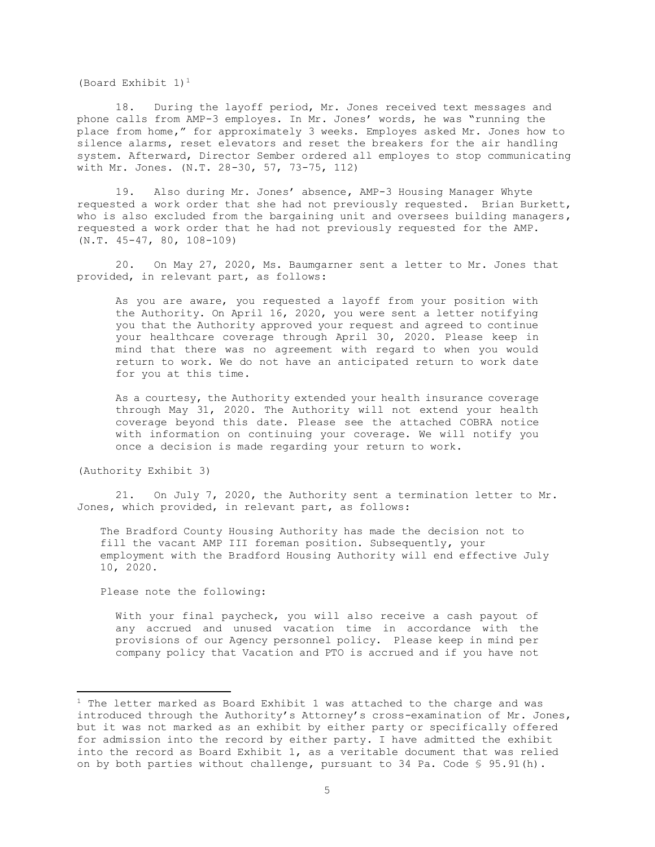(Board Exhibit 1)<sup>1</sup>

18. During the layoff period, Mr. Jones received text messages and phone calls from AMP-3 employes. In Mr. Jones' words, he was "running the place from home," for approximately 3 weeks. Employes asked Mr. Jones how to silence alarms, reset elevators and reset the breakers for the air handling system. Afterward, Director Sember ordered all employes to stop communicating with Mr. Jones. (N.T. 28-30, 57, 73-75, 112)

19. Also during Mr. Jones' absence, AMP-3 Housing Manager Whyte requested a work order that she had not previously requested. Brian Burkett, who is also excluded from the bargaining unit and oversees building managers, requested a work order that he had not previously requested for the AMP. (N.T. 45-47, 80, 108-109)

20. On May 27, 2020, Ms. Baumgarner sent a letter to Mr. Jones that provided, in relevant part, as follows:

As you are aware, you requested a layoff from your position with the Authority. On April 16, 2020, you were sent a letter notifying you that the Authority approved your request and agreed to continue your healthcare coverage through April 30, 2020. Please keep in mind that there was no agreement with regard to when you would return to work. We do not have an anticipated return to work date for you at this time.

As a courtesy, the Authority extended your health insurance coverage through May 31, 2020. The Authority will not extend your health coverage beyond this date. Please see the attached COBRA notice with information on continuing your coverage. We will notify you once a decision is made regarding your return to work.

(Authority Exhibit 3)

21. On July 7, 2020, the Authority sent a termination letter to Mr. Jones, which provided, in relevant part, as follows:

The Bradford County Housing Authority has made the decision not to fill the vacant AMP III foreman position. Subsequently, your employment with the Bradford Housing Authority will end effective July 10, 2020.

Please note the following:

With your final paycheck, you will also receive a cash payout of any accrued and unused vacation time in accordance with the provisions of our Agency personnel policy. Please keep in mind per company policy that Vacation and PTO is accrued and if you have not

 $1$  The letter marked as Board Exhibit 1 was attached to the charge and was introduced through the Authority's Attorney's cross-examination of Mr. Jones, but it was not marked as an exhibit by either party or specifically offered for admission into the record by either party. I have admitted the exhibit into the record as Board Exhibit 1, as a veritable document that was relied on by both parties without challenge, pursuant to 34 Pa. Code § 95.91(h).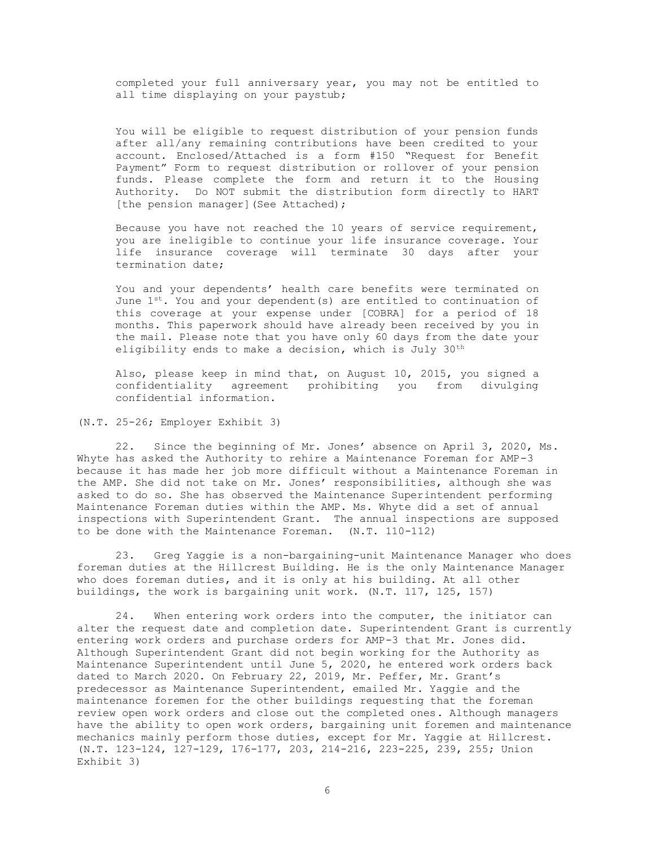completed your full anniversary year, you may not be entitled to all time displaying on your paystub;

You will be eligible to request distribution of your pension funds after all/any remaining contributions have been credited to your account. Enclosed/Attached is a form #150 "Request for Benefit Payment" Form to request distribution or rollover of your pension funds. Please complete the form and return it to the Housing Authority. Do NOT submit the distribution form directly to HART [the pension manager] (See Attached);

Because you have not reached the 10 years of service requirement, you are ineligible to continue your life insurance coverage. Your life insurance coverage will terminate 30 days after your termination date;

You and your dependents' health care benefits were terminated on June  $1^{st}$ . You and your dependent(s) are entitled to continuation of this coverage at your expense under [COBRA] for a period of 18 months. This paperwork should have already been received by you in the mail. Please note that you have only 60 days from the date your eligibility ends to make a decision, which is July 30<sup>th</sup>

Also, please keep in mind that, on August 10, 2015, you signed a confidentiality agreement prohibiting you from divulging confidential information.

(N.T. 25-26; Employer Exhibit 3)

22. Since the beginning of Mr. Jones' absence on April 3, 2020, Ms. Whyte has asked the Authority to rehire a Maintenance Foreman for AMP-3 because it has made her job more difficult without a Maintenance Foreman in the AMP. She did not take on Mr. Jones' responsibilities, although she was asked to do so. She has observed the Maintenance Superintendent performing Maintenance Foreman duties within the AMP. Ms. Whyte did a set of annual inspections with Superintendent Grant. The annual inspections are supposed to be done with the Maintenance Foreman. (N.T. 110-112)

23. Greg Yaggie is a non-bargaining-unit Maintenance Manager who does foreman duties at the Hillcrest Building. He is the only Maintenance Manager who does foreman duties, and it is only at his building. At all other buildings, the work is bargaining unit work. (N.T. 117, 125, 157)

24. When entering work orders into the computer, the initiator can alter the request date and completion date. Superintendent Grant is currently entering work orders and purchase orders for AMP-3 that Mr. Jones did. Although Superintendent Grant did not begin working for the Authority as Maintenance Superintendent until June 5, 2020, he entered work orders back dated to March 2020. On February 22, 2019, Mr. Peffer, Mr. Grant's predecessor as Maintenance Superintendent, emailed Mr. Yaggie and the maintenance foremen for the other buildings requesting that the foreman review open work orders and close out the completed ones. Although managers have the ability to open work orders, bargaining unit foremen and maintenance mechanics mainly perform those duties, except for Mr. Yaggie at Hillcrest. (N.T. 123-124, 127-129, 176-177, 203, 214-216, 223-225, 239, 255; Union Exhibit 3)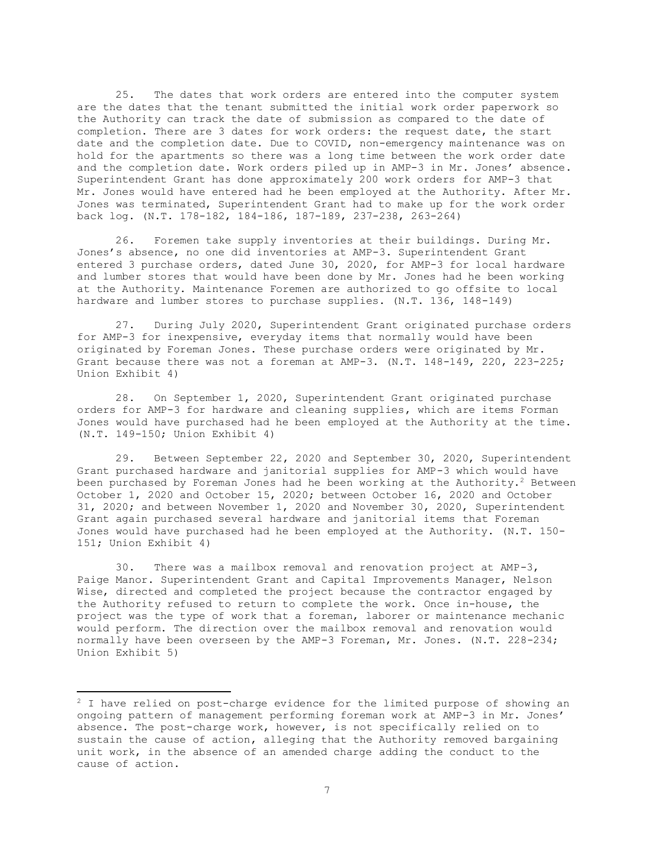25. The dates that work orders are entered into the computer system are the dates that the tenant submitted the initial work order paperwork so the Authority can track the date of submission as compared to the date of completion. There are 3 dates for work orders: the request date, the start date and the completion date. Due to COVID, non-emergency maintenance was on hold for the apartments so there was a long time between the work order date and the completion date. Work orders piled up in AMP-3 in Mr. Jones' absence. Superintendent Grant has done approximately 200 work orders for AMP-3 that Mr. Jones would have entered had he been employed at the Authority. After Mr. Jones was terminated, Superintendent Grant had to make up for the work order back log. (N.T. 178-182, 184-186, 187-189, 237-238, 263-264)

26. Foremen take supply inventories at their buildings. During Mr. Jones's absence, no one did inventories at AMP-3. Superintendent Grant entered 3 purchase orders, dated June 30, 2020, for AMP-3 for local hardware and lumber stores that would have been done by Mr. Jones had he been working at the Authority. Maintenance Foremen are authorized to go offsite to local hardware and lumber stores to purchase supplies. (N.T. 136, 148-149)

27. During July 2020, Superintendent Grant originated purchase orders for AMP-3 for inexpensive, everyday items that normally would have been originated by Foreman Jones. These purchase orders were originated by Mr. Grant because there was not a foreman at AMP-3. (N.T. 148-149, 220, 223-225; Union Exhibit 4)

28. On September 1, 2020, Superintendent Grant originated purchase orders for AMP-3 for hardware and cleaning supplies, which are items Forman Jones would have purchased had he been employed at the Authority at the time. (N.T. 149-150; Union Exhibit 4)

29. Between September 22, 2020 and September 30, 2020, Superintendent Grant purchased hardware and janitorial supplies for AMP-3 which would have been purchased by Foreman Jones had he been working at the Authority.<sup>2</sup> Between October 1, 2020 and October 15, 2020; between October 16, 2020 and October 31, 2020; and between November 1, 2020 and November 30, 2020, Superintendent Grant again purchased several hardware and janitorial items that Foreman Jones would have purchased had he been employed at the Authority. (N.T. 150- 151; Union Exhibit 4)

30. There was a mailbox removal and renovation project at AMP-3, Paige Manor. Superintendent Grant and Capital Improvements Manager, Nelson Wise, directed and completed the project because the contractor engaged by the Authority refused to return to complete the work. Once in-house, the project was the type of work that a foreman, laborer or maintenance mechanic would perform. The direction over the mailbox removal and renovation would normally have been overseen by the AMP-3 Foreman, Mr. Jones. (N.T. 228-234; Union Exhibit 5)

<sup>&</sup>lt;sup>2</sup> I have relied on post-charge evidence for the limited purpose of showing an ongoing pattern of management performing foreman work at AMP-3 in Mr. Jones' absence. The post-charge work, however, is not specifically relied on to sustain the cause of action, alleging that the Authority removed bargaining unit work, in the absence of an amended charge adding the conduct to the cause of action.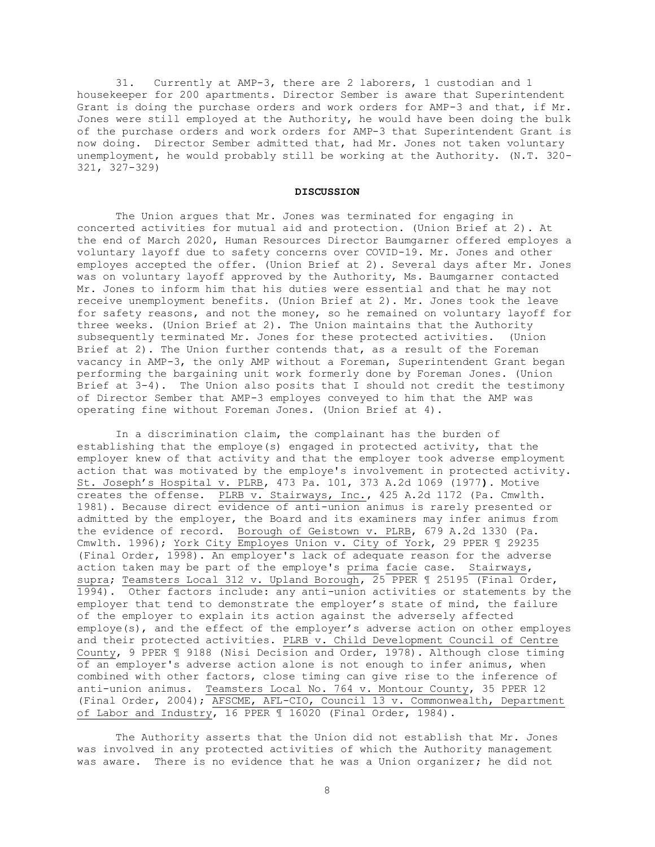31. Currently at AMP-3, there are 2 laborers, 1 custodian and 1 housekeeper for 200 apartments. Director Sember is aware that Superintendent Grant is doing the purchase orders and work orders for AMP-3 and that, if Mr. Jones were still employed at the Authority, he would have been doing the bulk of the purchase orders and work orders for AMP-3 that Superintendent Grant is now doing. Director Sember admitted that, had Mr. Jones not taken voluntary unemployment, he would probably still be working at the Authority. (N.T. 320- 321, 327-329)

#### **DISCUSSION**

The Union argues that Mr. Jones was terminated for engaging in concerted activities for mutual aid and protection. (Union Brief at 2). At the end of March 2020, Human Resources Director Baumgarner offered employes a voluntary layoff due to safety concerns over COVID-19. Mr. Jones and other employes accepted the offer. (Union Brief at 2). Several days after Mr. Jones was on voluntary layoff approved by the Authority, Ms. Baumgarner contacted Mr. Jones to inform him that his duties were essential and that he may not receive unemployment benefits. (Union Brief at 2). Mr. Jones took the leave for safety reasons, and not the money, so he remained on voluntary layoff for three weeks. (Union Brief at 2). The Union maintains that the Authority subsequently terminated Mr. Jones for these protected activities. (Union Brief at 2). The Union further contends that, as a result of the Foreman vacancy in AMP-3, the only AMP without a Foreman, Superintendent Grant began performing the bargaining unit work formerly done by Foreman Jones. (Union Brief at 3-4). The Union also posits that I should not credit the testimony of Director Sember that AMP-3 employes conveyed to him that the AMP was operating fine without Foreman Jones. (Union Brief at 4).

In a discrimination claim, the complainant has the burden of establishing that the employe(s) engaged in protected activity, that the employer knew of that activity and that the employer took adverse employment action that was motivated by the employe's involvement in protected activity. St. Joseph's Hospital v. PLRB, 473 Pa. 101, 373 A.2d 1069 (1977**).** Motive creates the offense. PLRB v. Stairways, Inc., 425 A.2d 1172 (Pa. Cmwlth. 1981). Because direct evidence of anti-union animus is rarely presented or admitted by the employer, the Board and its examiners may infer animus from the evidence of record. Borough of Geistown v. PLRB, 679 A.2d 1330 (Pa. Cmwlth. 1996); York City Employes Union v. City of York, 29 PPER 1 29235 (Final Order, 1998). An employer's lack of adequate reason for the adverse action taken may be part of the employe's prima facie case. Stairways, supra; Teamsters Local 312 v. Upland Borough, 25 PPER 1 25195 (Final Order, 1994). Other factors include: any anti-union activities or statements by the employer that tend to demonstrate the employer's state of mind, the failure of the employer to explain its action against the adversely affected employe(s), and the effect of the employer's adverse action on other employes and their protected activities. PLRB v. Child Development Council of Centre County, 9 PPER ¶ 9188 (Nisi Decision and Order, 1978). Although close timing of an employer's adverse action alone is not enough to infer animus, when combined with other factors, close timing can give rise to the inference of anti-union animus. Teamsters Local No. 764 v. Montour County, 35 PPER 12 (Final Order, 2004); AFSCME, AFL-CIO, Council 13 v. Commonwealth, Department of Labor and Industry, 16 PPER 1 16020 (Final Order, 1984).

The Authority asserts that the Union did not establish that Mr. Jones was involved in any protected activities of which the Authority management was aware. There is no evidence that he was a Union organizer; he did not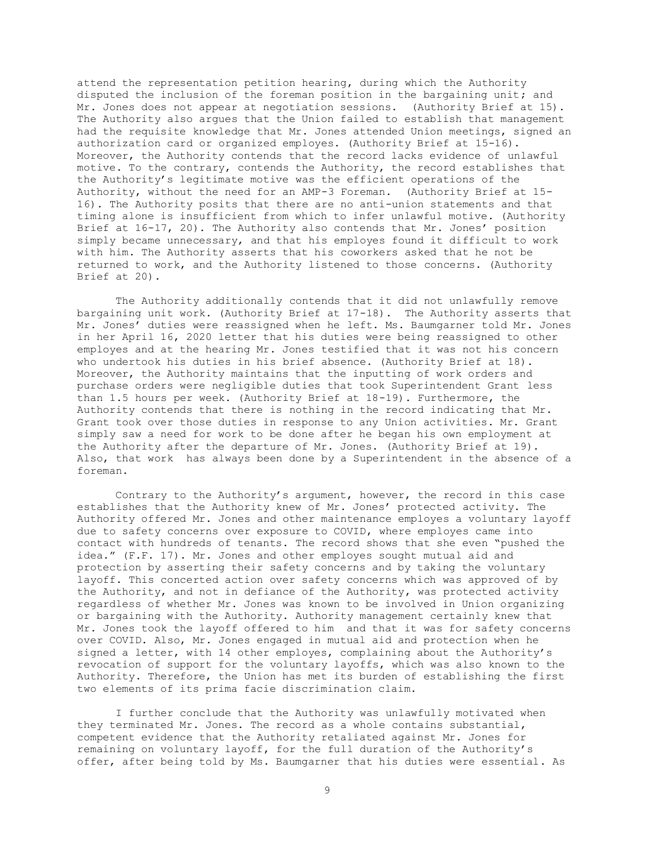attend the representation petition hearing, during which the Authority disputed the inclusion of the foreman position in the bargaining unit; and Mr. Jones does not appear at negotiation sessions. (Authority Brief at 15). The Authority also argues that the Union failed to establish that management had the requisite knowledge that Mr. Jones attended Union meetings, signed an authorization card or organized employes. (Authority Brief at 15-16). Moreover, the Authority contends that the record lacks evidence of unlawful motive. To the contrary, contends the Authority, the record establishes that the Authority's legitimate motive was the efficient operations of the Authority, without the need for an AMP-3 Foreman. (Authority Brief at 15- 16). The Authority posits that there are no anti-union statements and that timing alone is insufficient from which to infer unlawful motive. (Authority Brief at 16-17, 20). The Authority also contends that Mr. Jones' position simply became unnecessary, and that his employes found it difficult to work with him. The Authority asserts that his coworkers asked that he not be returned to work, and the Authority listened to those concerns. (Authority Brief at 20).

The Authority additionally contends that it did not unlawfully remove bargaining unit work. (Authority Brief at 17-18). The Authority asserts that Mr. Jones' duties were reassigned when he left. Ms. Baumgarner told Mr. Jones in her April 16, 2020 letter that his duties were being reassigned to other employes and at the hearing Mr. Jones testified that it was not his concern who undertook his duties in his brief absence. (Authority Brief at 18). Moreover, the Authority maintains that the inputting of work orders and purchase orders were negligible duties that took Superintendent Grant less than 1.5 hours per week. (Authority Brief at 18-19). Furthermore, the Authority contends that there is nothing in the record indicating that Mr. Grant took over those duties in response to any Union activities. Mr. Grant simply saw a need for work to be done after he began his own employment at the Authority after the departure of Mr. Jones. (Authority Brief at 19). Also, that work has always been done by a Superintendent in the absence of a foreman.

Contrary to the Authority's argument, however, the record in this case establishes that the Authority knew of Mr. Jones' protected activity. The Authority offered Mr. Jones and other maintenance employes a voluntary layoff due to safety concerns over exposure to COVID, where employes came into contact with hundreds of tenants. The record shows that she even "pushed the idea." (F.F. 17). Mr. Jones and other employes sought mutual aid and protection by asserting their safety concerns and by taking the voluntary layoff. This concerted action over safety concerns which was approved of by the Authority, and not in defiance of the Authority, was protected activity regardless of whether Mr. Jones was known to be involved in Union organizing or bargaining with the Authority. Authority management certainly knew that Mr. Jones took the layoff offered to him and that it was for safety concerns over COVID. Also, Mr. Jones engaged in mutual aid and protection when he signed a letter, with 14 other employes, complaining about the Authority's revocation of support for the voluntary layoffs, which was also known to the Authority. Therefore, the Union has met its burden of establishing the first two elements of its prima facie discrimination claim.

I further conclude that the Authority was unlawfully motivated when they terminated Mr. Jones. The record as a whole contains substantial, competent evidence that the Authority retaliated against Mr. Jones for remaining on voluntary layoff, for the full duration of the Authority's offer, after being told by Ms. Baumgarner that his duties were essential. As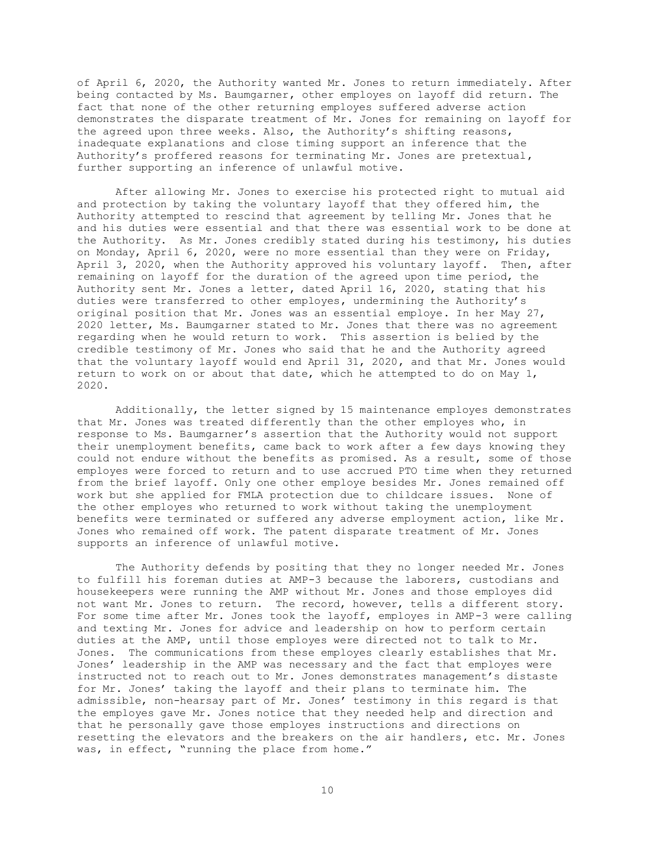of April 6, 2020, the Authority wanted Mr. Jones to return immediately. After being contacted by Ms. Baumgarner, other employes on layoff did return. The fact that none of the other returning employes suffered adverse action demonstrates the disparate treatment of Mr. Jones for remaining on layoff for the agreed upon three weeks. Also, the Authority's shifting reasons, inadequate explanations and close timing support an inference that the Authority's proffered reasons for terminating Mr. Jones are pretextual, further supporting an inference of unlawful motive.

After allowing Mr. Jones to exercise his protected right to mutual aid and protection by taking the voluntary layoff that they offered him, the Authority attempted to rescind that agreement by telling Mr. Jones that he and his duties were essential and that there was essential work to be done at the Authority. As Mr. Jones credibly stated during his testimony, his duties on Monday, April 6, 2020, were no more essential than they were on Friday, April 3, 2020, when the Authority approved his voluntary layoff. Then, after remaining on layoff for the duration of the agreed upon time period, the Authority sent Mr. Jones a letter, dated April 16, 2020, stating that his duties were transferred to other employes, undermining the Authority's original position that Mr. Jones was an essential employe. In her May 27, 2020 letter, Ms. Baumgarner stated to Mr. Jones that there was no agreement regarding when he would return to work. This assertion is belied by the credible testimony of Mr. Jones who said that he and the Authority agreed that the voluntary layoff would end April 31, 2020, and that Mr. Jones would return to work on or about that date, which he attempted to do on May 1, 2020.

Additionally, the letter signed by 15 maintenance employes demonstrates that Mr. Jones was treated differently than the other employes who, in response to Ms. Baumgarner's assertion that the Authority would not support their unemployment benefits, came back to work after a few days knowing they could not endure without the benefits as promised. As a result, some of those employes were forced to return and to use accrued PTO time when they returned from the brief layoff. Only one other employe besides Mr. Jones remained off work but she applied for FMLA protection due to childcare issues. None of the other employes who returned to work without taking the unemployment benefits were terminated or suffered any adverse employment action, like Mr. Jones who remained off work. The patent disparate treatment of Mr. Jones supports an inference of unlawful motive.

The Authority defends by positing that they no longer needed Mr. Jones to fulfill his foreman duties at AMP-3 because the laborers, custodians and housekeepers were running the AMP without Mr. Jones and those employes did not want Mr. Jones to return. The record, however, tells a different story. For some time after Mr. Jones took the layoff, employes in AMP-3 were calling and texting Mr. Jones for advice and leadership on how to perform certain duties at the AMP, until those employes were directed not to talk to Mr. Jones. The communications from these employes clearly establishes that Mr. Jones' leadership in the AMP was necessary and the fact that employes were instructed not to reach out to Mr. Jones demonstrates management's distaste for Mr. Jones' taking the layoff and their plans to terminate him. The admissible, non-hearsay part of Mr. Jones' testimony in this regard is that the employes gave Mr. Jones notice that they needed help and direction and that he personally gave those employes instructions and directions on resetting the elevators and the breakers on the air handlers, etc. Mr. Jones was, in effect, "running the place from home."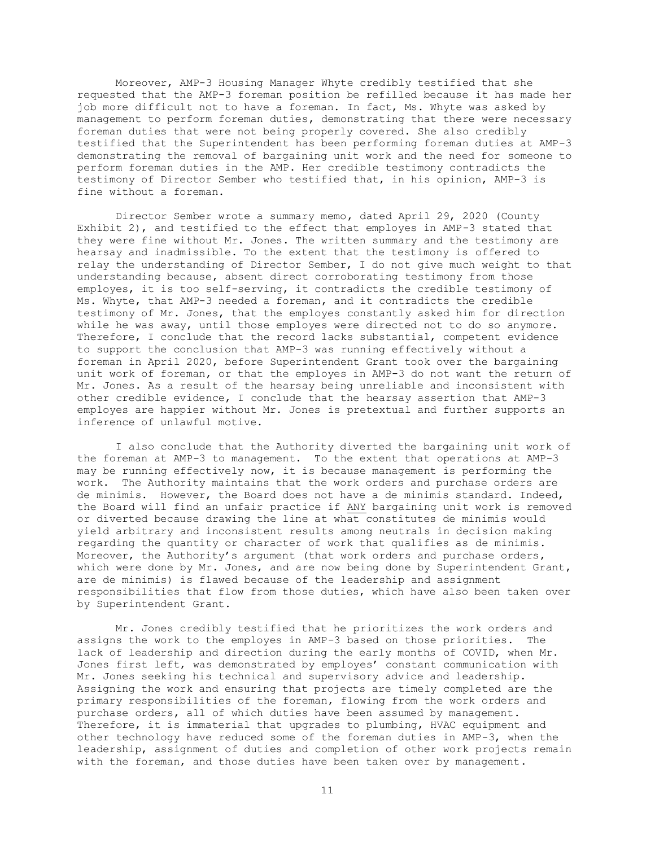Moreover, AMP-3 Housing Manager Whyte credibly testified that she requested that the AMP-3 foreman position be refilled because it has made her job more difficult not to have a foreman. In fact, Ms. Whyte was asked by management to perform foreman duties, demonstrating that there were necessary foreman duties that were not being properly covered. She also credibly testified that the Superintendent has been performing foreman duties at AMP-3 demonstrating the removal of bargaining unit work and the need for someone to perform foreman duties in the AMP. Her credible testimony contradicts the testimony of Director Sember who testified that, in his opinion, AMP-3 is fine without a foreman.

Director Sember wrote a summary memo, dated April 29, 2020 (County Exhibit 2), and testified to the effect that employes in AMP-3 stated that they were fine without Mr. Jones. The written summary and the testimony are hearsay and inadmissible. To the extent that the testimony is offered to relay the understanding of Director Sember, I do not give much weight to that understanding because, absent direct corroborating testimony from those employes, it is too self-serving, it contradicts the credible testimony of Ms. Whyte, that AMP-3 needed a foreman, and it contradicts the credible testimony of Mr. Jones, that the employes constantly asked him for direction while he was away, until those employes were directed not to do so anymore. Therefore, I conclude that the record lacks substantial, competent evidence to support the conclusion that AMP-3 was running effectively without a foreman in April 2020, before Superintendent Grant took over the bargaining unit work of foreman, or that the employes in AMP-3 do not want the return of Mr. Jones. As a result of the hearsay being unreliable and inconsistent with other credible evidence, I conclude that the hearsay assertion that AMP-3 employes are happier without Mr. Jones is pretextual and further supports an inference of unlawful motive.

I also conclude that the Authority diverted the bargaining unit work of the foreman at AMP-3 to management. To the extent that operations at AMP-3 may be running effectively now, it is because management is performing the work. The Authority maintains that the work orders and purchase orders are de minimis. However, the Board does not have a de minimis standard. Indeed, the Board will find an unfair practice if ANY bargaining unit work is removed or diverted because drawing the line at what constitutes de minimis would yield arbitrary and inconsistent results among neutrals in decision making regarding the quantity or character of work that qualifies as de minimis. Moreover, the Authority's argument (that work orders and purchase orders, which were done by Mr. Jones, and are now being done by Superintendent Grant, are de minimis) is flawed because of the leadership and assignment responsibilities that flow from those duties, which have also been taken over by Superintendent Grant.

Mr. Jones credibly testified that he prioritizes the work orders and assigns the work to the employes in AMP-3 based on those priorities. The lack of leadership and direction during the early months of COVID, when Mr. Jones first left, was demonstrated by employes' constant communication with Mr. Jones seeking his technical and supervisory advice and leadership. Assigning the work and ensuring that projects are timely completed are the primary responsibilities of the foreman, flowing from the work orders and purchase orders, all of which duties have been assumed by management. Therefore, it is immaterial that upgrades to plumbing, HVAC equipment and other technology have reduced some of the foreman duties in AMP-3, when the leadership, assignment of duties and completion of other work projects remain with the foreman, and those duties have been taken over by management.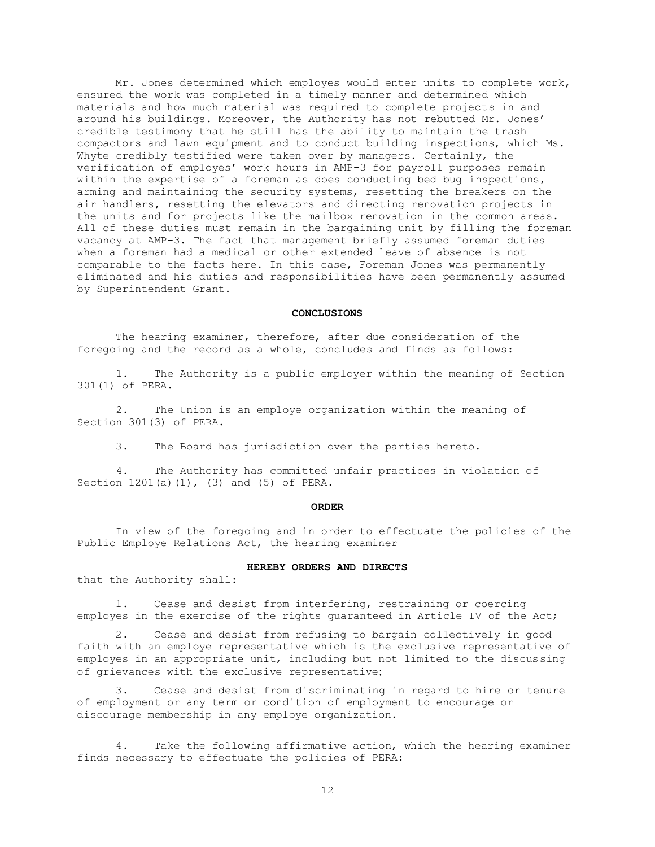Mr. Jones determined which employes would enter units to complete work, ensured the work was completed in a timely manner and determined which materials and how much material was required to complete projects in and around his buildings. Moreover, the Authority has not rebutted Mr. Jones' credible testimony that he still has the ability to maintain the trash compactors and lawn equipment and to conduct building inspections, which Ms. Whyte credibly testified were taken over by managers. Certainly, the verification of employes' work hours in AMP-3 for payroll purposes remain within the expertise of a foreman as does conducting bed bug inspections, arming and maintaining the security systems, resetting the breakers on the air handlers, resetting the elevators and directing renovation projects in the units and for projects like the mailbox renovation in the common areas. All of these duties must remain in the bargaining unit by filling the foreman vacancy at AMP-3. The fact that management briefly assumed foreman duties when a foreman had a medical or other extended leave of absence is not comparable to the facts here. In this case, Foreman Jones was permanently eliminated and his duties and responsibilities have been permanently assumed by Superintendent Grant.

#### **CONCLUSIONS**

The hearing examiner, therefore, after due consideration of the foregoing and the record as a whole, concludes and finds as follows:

 1. The Authority is a public employer within the meaning of Section 301(1) of PERA.

 2. The Union is an employe organization within the meaning of Section 301(3) of PERA.

3. The Board has jurisdiction over the parties hereto.

 4. The Authority has committed unfair practices in violation of Section 1201(a)(1), (3) and (5) of PERA.

### **ORDER**

In view of the foregoing and in order to effectuate the policies of the Public Employe Relations Act, the hearing examiner

### **HEREBY ORDERS AND DIRECTS**

that the Authority shall:

1. Cease and desist from interfering, restraining or coercing employes in the exercise of the rights guaranteed in Article IV of the Act;

2. Cease and desist from refusing to bargain collectively in good faith with an employe representative which is the exclusive representative of employes in an appropriate unit, including but not limited to the discussing of grievances with the exclusive representative;

3. Cease and desist from discriminating in regard to hire or tenure of employment or any term or condition of employment to encourage or discourage membership in any employe organization.

4. Take the following affirmative action, which the hearing examiner finds necessary to effectuate the policies of PERA: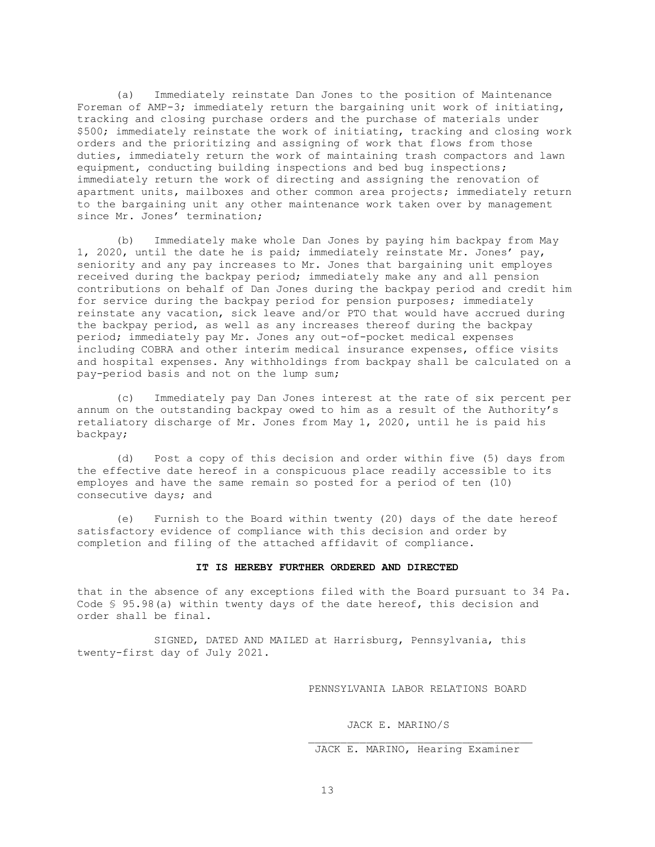(a) Immediately reinstate Dan Jones to the position of Maintenance Foreman of AMP-3; immediately return the bargaining unit work of initiating, tracking and closing purchase orders and the purchase of materials under \$500; immediately reinstate the work of initiating, tracking and closing work orders and the prioritizing and assigning of work that flows from those duties, immediately return the work of maintaining trash compactors and lawn equipment, conducting building inspections and bed bug inspections; immediately return the work of directing and assigning the renovation of apartment units, mailboxes and other common area projects; immediately return to the bargaining unit any other maintenance work taken over by management since Mr. Jones' termination;

(b) Immediately make whole Dan Jones by paying him backpay from May 1, 2020, until the date he is paid; immediately reinstate Mr. Jones' pay, seniority and any pay increases to Mr. Jones that bargaining unit employes received during the backpay period; immediately make any and all pension contributions on behalf of Dan Jones during the backpay period and credit him for service during the backpay period for pension purposes; immediately reinstate any vacation, sick leave and/or PTO that would have accrued during the backpay period, as well as any increases thereof during the backpay period; immediately pay Mr. Jones any out-of-pocket medical expenses including COBRA and other interim medical insurance expenses, office visits and hospital expenses. Any withholdings from backpay shall be calculated on a pay-period basis and not on the lump sum;

(c) Immediately pay Dan Jones interest at the rate of six percent per annum on the outstanding backpay owed to him as a result of the Authority's retaliatory discharge of Mr. Jones from May 1, 2020, until he is paid his backpay;

(d) Post a copy of this decision and order within five (5) days from the effective date hereof in a conspicuous place readily accessible to its employes and have the same remain so posted for a period of ten (10) consecutive days; and

(e) Furnish to the Board within twenty (20) days of the date hereof satisfactory evidence of compliance with this decision and order by completion and filing of the attached affidavit of compliance.

### **IT IS HEREBY FURTHER ORDERED AND DIRECTED**

that in the absence of any exceptions filed with the Board pursuant to 34 Pa. Code § 95.98(a) within twenty days of the date hereof, this decision and order shall be final.

SIGNED, DATED AND MAILED at Harrisburg, Pennsylvania, this twenty-first day of July 2021.

PENNSYLVANIA LABOR RELATIONS BOARD

JACK E. MARINO/S

```
 JACK E. MARINO, Hearing Examiner
```